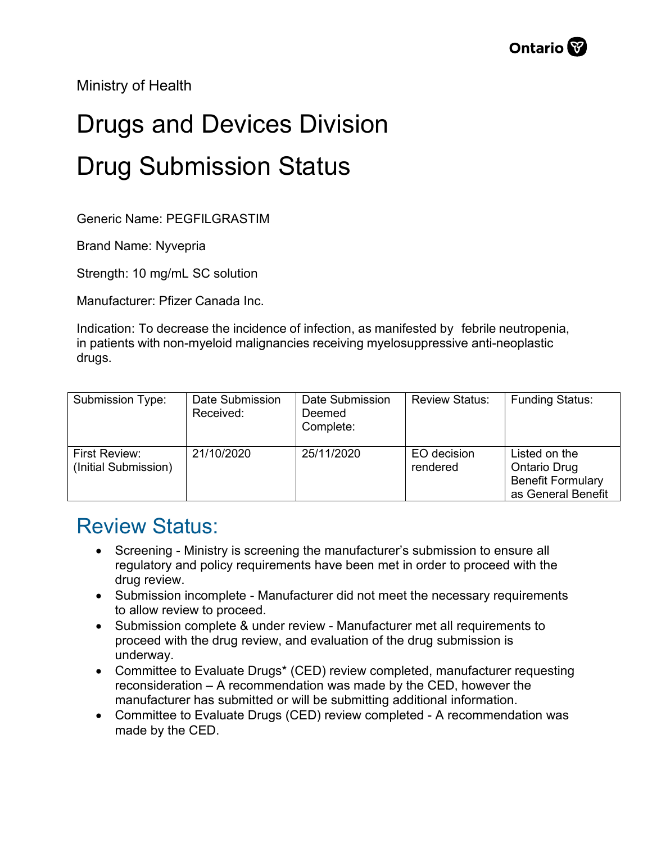Ministry of Health

## Drugs and Devices Division Drug Submission Status

Generic Name: PEGFILGRASTIM

Brand Name: Nyvepria

Strength: 10 mg/mL SC solution

Manufacturer: Pfizer Canada Inc.

Indication: To decrease the incidence of infection, as manifested by febrile neutropenia, in patients with non-myeloid malignancies receiving myelosuppressive anti-neoplastic drugs.

| Submission Type:                      | Date Submission<br>Received: | Date Submission<br>Deemed<br>Complete: | <b>Review Status:</b>   | <b>Funding Status:</b>                                                                 |
|---------------------------------------|------------------------------|----------------------------------------|-------------------------|----------------------------------------------------------------------------------------|
| First Review:<br>(Initial Submission) | 21/10/2020                   | 25/11/2020                             | EO decision<br>rendered | Listed on the<br><b>Ontario Drug</b><br><b>Benefit Formulary</b><br>as General Benefit |

## Review Status:

- Screening Ministry is screening the manufacturer's submission to ensure all regulatory and policy requirements have been met in order to proceed with the drug review.
- Submission incomplete Manufacturer did not meet the necessary requirements to allow review to proceed.
- Submission complete & under review Manufacturer met all requirements to proceed with the drug review, and evaluation of the drug submission is underway.
- Committee to Evaluate Drugs\* (CED) review completed, manufacturer requesting reconsideration – A recommendation was made by the CED, however the manufacturer has submitted or will be submitting additional information.
- Committee to Evaluate Drugs (CED) review completed A recommendation was made by the CED.